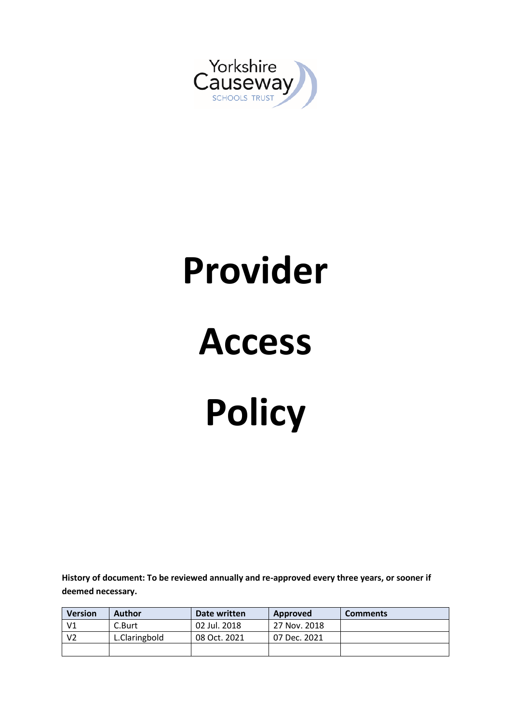

# **Provider**

# **Access Policy**

**History of document: To be reviewed annually and re-approved every three years, or sooner if deemed necessary.**

| <b>Version</b> | Author        | Date written | Approved     | <b>Comments</b> |
|----------------|---------------|--------------|--------------|-----------------|
| V <sub>1</sub> | C.Burt        | 02 Jul. 2018 | 27 Nov. 2018 |                 |
| V <sub>2</sub> | L.Claringbold | 08 Oct. 2021 | 07 Dec. 2021 |                 |
|                |               |              |              |                 |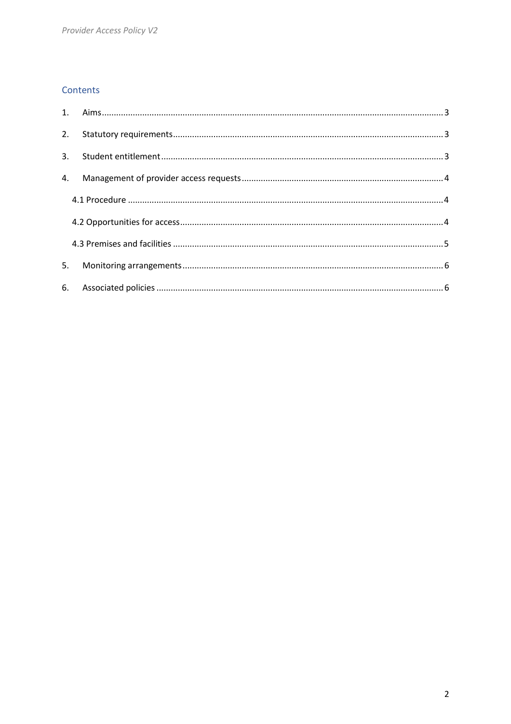# Contents

| 2. |  |
|----|--|
| 3. |  |
|    |  |
|    |  |
|    |  |
|    |  |
| 5. |  |
|    |  |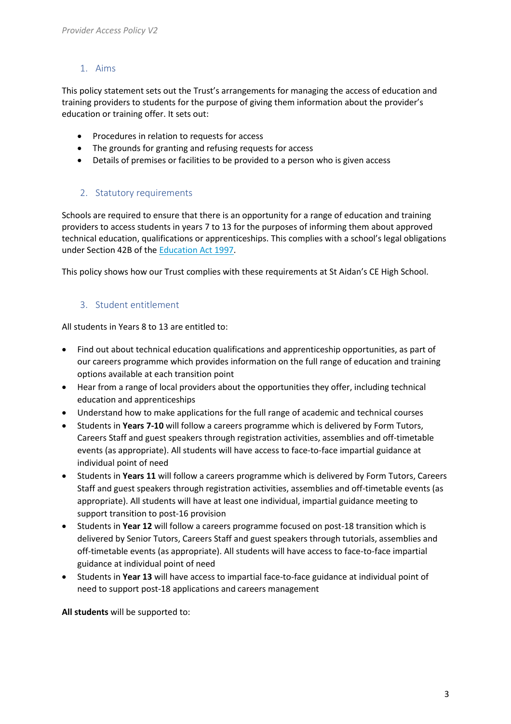# <span id="page-2-0"></span>1. Aims

This policy statement sets out the Trust's arrangements for managing the access of education and training providers to students for the purpose of giving them information about the provider's education or training offer. It sets out:

- Procedures in relation to requests for access
- The grounds for granting and refusing requests for access
- Details of premises or facilities to be provided to a person who is given access

# <span id="page-2-1"></span>2. Statutory requirements

Schools are required to ensure that there is an opportunity for a range of education and training providers to access students in years 7 to 13 for the purposes of informing them about approved technical education, qualifications or apprenticeships. This complies with a school's legal obligations under Section 42B of the [Education Act 1997.](https://www.legislation.gov.uk/ukpga/1997/44/section/42B)

<span id="page-2-2"></span>This policy shows how our Trust complies with these requirements at St Aidan's CE High School.

# 3. Student entitlement

All students in Years 8 to 13 are entitled to:

- Find out about technical education qualifications and apprenticeship opportunities, as part of our careers programme which provides information on the full range of education and training options available at each transition point
- Hear from a range of local providers about the opportunities they offer, including technical education and apprenticeships
- Understand how to make applications for the full range of academic and technical courses
- Students in **Years 7-10** will follow a careers programme which is delivered by Form Tutors, Careers Staff and guest speakers through registration activities, assemblies and off-timetable events (as appropriate). All students will have access to face-to-face impartial guidance at individual point of need
- Students in **Years 11** will follow a careers programme which is delivered by Form Tutors, Careers Staff and guest speakers through registration activities, assemblies and off-timetable events (as appropriate). All students will have at least one individual, impartial guidance meeting to support transition to post-16 provision
- Students in **Year 12** will follow a careers programme focused on post-18 transition which is delivered by Senior Tutors, Careers Staff and guest speakers through tutorials, assemblies and off-timetable events (as appropriate). All students will have access to face-to-face impartial guidance at individual point of need
- Students in **Year 13** will have access to impartial face-to-face guidance at individual point of need to support post-18 applications and careers management

**All students** will be supported to: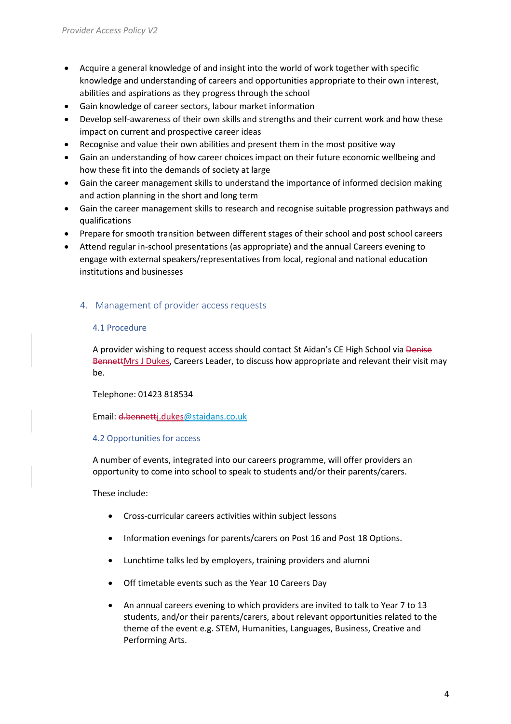- Acquire a general knowledge of and insight into the world of work together with specific knowledge and understanding of careers and opportunities appropriate to their own interest, abilities and aspirations as they progress through the school
- Gain knowledge of career sectors, labour market information
- Develop self-awareness of their own skills and strengths and their current work and how these impact on current and prospective career ideas
- Recognise and value their own abilities and present them in the most positive way
- Gain an understanding of how career choices impact on their future economic wellbeing and how these fit into the demands of society at large
- Gain the career management skills to understand the importance of informed decision making and action planning in the short and long term
- Gain the career management skills to research and recognise suitable progression pathways and qualifications
- Prepare for smooth transition between different stages of their school and post school careers
- Attend regular in-school presentations (as appropriate) and the annual Careers evening to engage with external speakers/representatives from local, regional and national education institutions and businesses

#### <span id="page-3-1"></span><span id="page-3-0"></span>4. Management of provider access requests

#### 4.1 Procedure

A provider wishing to request access should contact St Aidan's CE High School via Denise BennettMrs J Dukes, Careers Leader, to discuss how appropriate and relevant their visit may be.

#### Telephone: 01423 818534

Email: d.bennet[tj.dukes@staidans.co.uk](mailto:j.dukes@staidans.co.uk)

#### <span id="page-3-2"></span>4.2 Opportunities for access

A number of events, integrated into our careers programme, will offer providers an opportunity to come into school to speak to students and/or their parents/carers.

These include:

- Cross-curricular careers activities within subject lessons
- Information evenings for parents/carers on Post 16 and Post 18 Options.
- Lunchtime talks led by employers, training providers and alumni
- Off timetable events such as the Year 10 Careers Day
- An annual careers evening to which providers are invited to talk to Year 7 to 13 students, and/or their parents/carers, about relevant opportunities related to the theme of the event e.g. STEM, Humanities, Languages, Business, Creative and Performing Arts.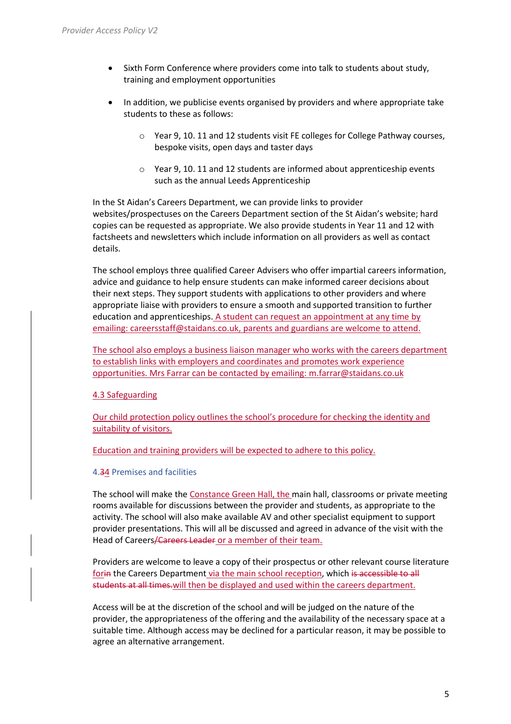- Sixth Form Conference where providers come into talk to students about study, training and employment opportunities
- In addition, we publicise events organised by providers and where appropriate take students to these as follows:
	- o Year 9, 10. 11 and 12 students visit FE colleges for College Pathway courses, bespoke visits, open days and taster days
	- o Year 9, 10. 11 and 12 students are informed about apprenticeship events such as the annual Leeds Apprenticeship

In the St Aidan's Careers Department, we can provide links to provider websites/prospectuses on the Careers Department section of the St Aidan's website; hard copies can be requested as appropriate. We also provide students in Year 11 and 12 with factsheets and newsletters which include information on all providers as well as contact details.

The school employs three qualified Career Advisers who offer impartial careers information, advice and guidance to help ensure students can make informed career decisions about their next steps. They support students with applications to other providers and where appropriate liaise with providers to ensure a smooth and supported transition to further education and apprenticeships. A student can request an appointment at any time by emailing[: careersstaff@staidans.co.uk,](mailto:careersstaff@staidans.co.uk) parents and guardians are welcome to attend.

The school also employs a business liaison manager who works with the careers department to establish links with employers and coordinates and promotes work experience opportunities. Mrs Farrar can be contacted by emailing[: m.farrar@staidans.co.uk](mailto:m.farrar@staidans.co.uk)

#### 4.3 Safeguarding

Our child protection policy outlines the school's procedure for checking the identity and suitability of visitors.

Education and training providers will be expected to adhere to this policy.

#### <span id="page-4-0"></span>4.34 Premises and facilities

The school will make the Constance Green Hall, the main hall, classrooms or private meeting rooms available for discussions between the provider and students, as appropriate to the activity. The school will also make available AV and other specialist equipment to support provider presentations. This will all be discussed and agreed in advance of the visit with the Head of Careers/Careers Leader or a member of their team.

Providers are welcome to leave a copy of their prospectus or other relevant course literature for the Careers Department via the main school reception, which is accessible to all students at all times.will then be displayed and used within the careers department.

Access will be at the discretion of the school and will be judged on the nature of the provider, the appropriateness of the offering and the availability of the necessary space at a suitable time. Although access may be declined for a particular reason, it may be possible to agree an alternative arrangement.